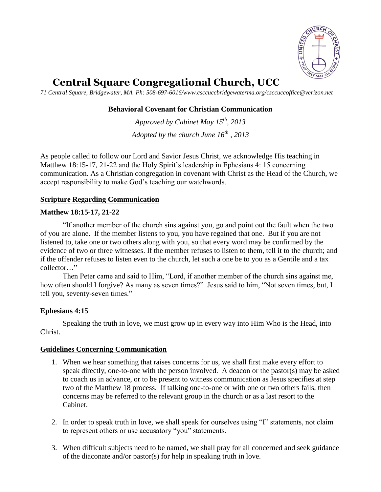

# **Central Square Congregational Church, UCC**

*71 Central Square, Bridgewater, MA Ph: 508-697-6016/www.csccuccbridgewaterma.org/csccuccoffice@verizon.net* 

## **Behavioral Covenant for Christian Communication**

*Approved by Cabinet May 15th , 2013 Adopted by the church June 16th , 2013*

As people called to follow our Lord and Savior Jesus Christ, we acknowledge His teaching in Matthew 18:15-17, 21-22 and the Holy Spirit's leadership in Ephesians 4: 15 concerning communication. As a Christian congregation in covenant with Christ as the Head of the Church, we accept responsibility to make God's teaching our watchwords.

## **Scripture Regarding Communication**

### **Matthew 18:15-17, 21-22**

"If another member of the church sins against you, go and point out the fault when the two of you are alone. If the member listens to you, you have regained that one. But if you are not listened to, take one or two others along with you, so that every word may be confirmed by the evidence of two or three witnesses. If the member refuses to listen to them, tell it to the church; and if the offender refuses to listen even to the church, let such a one be to you as a Gentile and a tax collector "

Then Peter came and said to Him, "Lord, if another member of the church sins against me, how often should I forgive? As many as seven times?" Jesus said to him, "Not seven times, but, I tell you, seventy-seven times."

## **Ephesians 4:15**

Speaking the truth in love, we must grow up in every way into Him Who is the Head, into Christ.

#### **Guidelines Concerning Communication**

- 1. When we hear something that raises concerns for us, we shall first make every effort to speak directly, one-to-one with the person involved. A deacon or the pastor(s) may be asked to coach us in advance, or to be present to witness communication as Jesus specifies at step two of the Matthew 18 process. If talking one-to-one or with one or two others fails, then concerns may be referred to the relevant group in the church or as a last resort to the Cabinet.
- 2. In order to speak truth in love, we shall speak for ourselves using "I" statements, not claim to represent others or use accusatory "you" statements.
- 3. When difficult subjects need to be named, we shall pray for all concerned and seek guidance of the diaconate and/or pastor(s) for help in speaking truth in love.